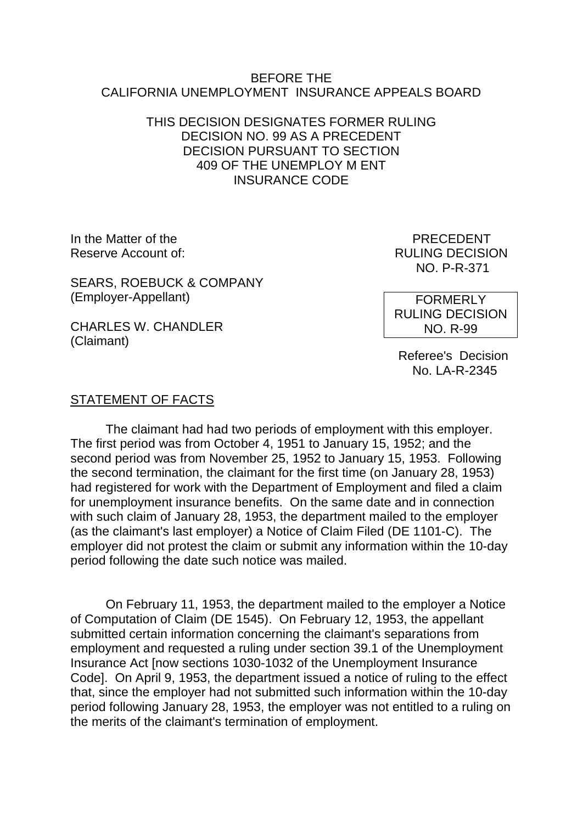### BEFORE THE CALIFORNIA UNEMPLOYMENT INSURANCE APPEALS BOARD

## THIS DECISION DESIGNATES FORMER RULING DECISION NO. 99 AS A PRECEDENT DECISION PURSUANT TO SECTION 409 OF THE UNEMPLOY M ENT INSURANCE CODE

In the Matter of the **PRECEDENT** Reserve Account of:  $RULING DECISION$ 

SEARS, ROEBUCK & COMPANY (Employer-Appellant)

CHARLES W. CHANDLER (Claimant)

NO. P-R-371

**FORMERLY** RULING DECISION NO. R-99

 Referee's Decision No. LA-R-2345

### STATEMENT OF FACTS

The claimant had had two periods of employment with this employer. The first period was from October 4, 1951 to January 15, 1952; and the second period was from November 25, 1952 to January 15, 1953. Following the second termination, the claimant for the first time (on January 28, 1953) had registered for work with the Department of Employment and filed a claim for unemployment insurance benefits. On the same date and in connection with such claim of January 28, 1953, the department mailed to the employer (as the claimant's last employer) a Notice of Claim Filed (DE 1101-C). The employer did not protest the claim or submit any information within the 10-day period following the date such notice was mailed.

On February 11, 1953, the department mailed to the employer a Notice of Computation of Claim (DE 1545). On February 12, 1953, the appellant submitted certain information concerning the claimant's separations from employment and requested a ruling under section 39.1 of the Unemployment Insurance Act [now sections 1030-1032 of the Unemployment Insurance Code]. On April 9, 1953, the department issued a notice of ruling to the effect that, since the employer had not submitted such information within the 10-day period following January 28, 1953, the employer was not entitled to a ruling on the merits of the claimant's termination of employment.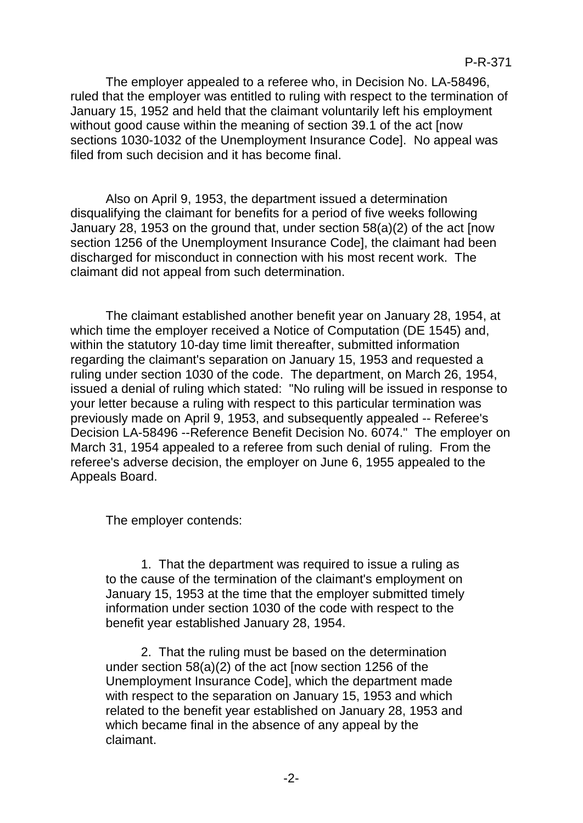The employer appealed to a referee who, in Decision No. LA-58496, ruled that the employer was entitled to ruling with respect to the termination of January 15, 1952 and held that the claimant voluntarily left his employment without good cause within the meaning of section 39.1 of the act [now sections 1030-1032 of the Unemployment Insurance Code]. No appeal was filed from such decision and it has become final.

Also on April 9, 1953, the department issued a determination disqualifying the claimant for benefits for a period of five weeks following January 28, 1953 on the ground that, under section 58(a)(2) of the act [now section 1256 of the Unemployment Insurance Code], the claimant had been discharged for misconduct in connection with his most recent work. The claimant did not appeal from such determination.

The claimant established another benefit year on January 28, 1954, at which time the employer received a Notice of Computation (DE 1545) and, within the statutory 10-day time limit thereafter, submitted information regarding the claimant's separation on January 15, 1953 and requested a ruling under section 1030 of the code. The department, on March 26, 1954, issued a denial of ruling which stated: "No ruling will be issued in response to your letter because a ruling with respect to this particular termination was previously made on April 9, 1953, and subsequently appealed -- Referee's Decision LA-58496 --Reference Benefit Decision No. 6074." The employer on March 31, 1954 appealed to a referee from such denial of ruling. From the referee's adverse decision, the employer on June 6, 1955 appealed to the Appeals Board.

The employer contends:

1. That the department was required to issue a ruling as to the cause of the termination of the claimant's employment on January 15, 1953 at the time that the employer submitted timely information under section 1030 of the code with respect to the benefit year established January 28, 1954.

2. That the ruling must be based on the determination under section 58(a)(2) of the act [now section 1256 of the Unemployment Insurance Code], which the department made with respect to the separation on January 15, 1953 and which related to the benefit year established on January 28, 1953 and which became final in the absence of any appeal by the claimant.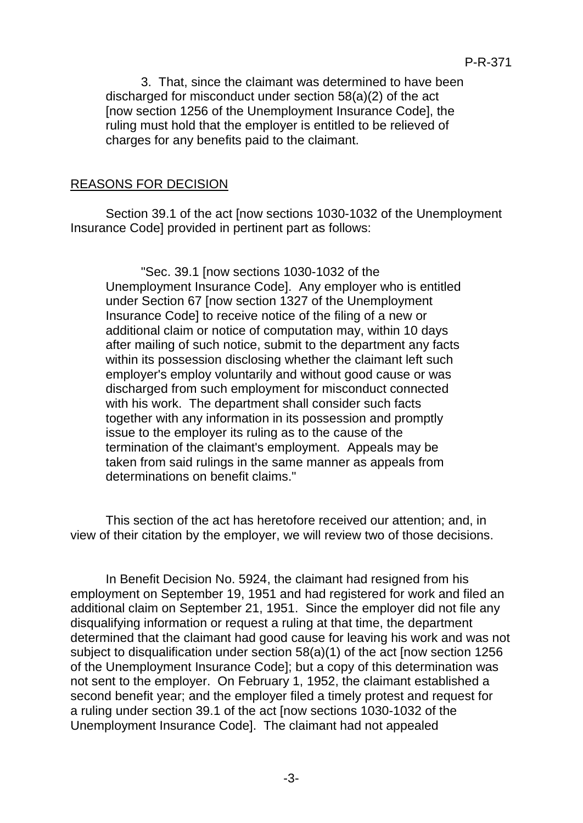3. That, since the claimant was determined to have been discharged for misconduct under section 58(a)(2) of the act [now section 1256 of the Unemployment Insurance Code], the ruling must hold that the employer is entitled to be relieved of charges for any benefits paid to the claimant.

# REASONS FOR DECISION

Section 39.1 of the act [now sections 1030-1032 of the Unemployment Insurance Code] provided in pertinent part as follows:

"Sec. 39.1 [now sections 1030-1032 of the Unemployment Insurance Code]. Any employer who is entitled under Section 67 [now section 1327 of the Unemployment Insurance Code] to receive notice of the filing of a new or additional claim or notice of computation may, within 10 days after mailing of such notice, submit to the department any facts within its possession disclosing whether the claimant left such employer's employ voluntarily and without good cause or was discharged from such employment for misconduct connected with his work. The department shall consider such facts together with any information in its possession and promptly issue to the employer its ruling as to the cause of the termination of the claimant's employment. Appeals may be taken from said rulings in the same manner as appeals from determinations on benefit claims."

This section of the act has heretofore received our attention; and, in view of their citation by the employer, we will review two of those decisions.

In Benefit Decision No. 5924, the claimant had resigned from his employment on September 19, 1951 and had registered for work and filed an additional claim on September 21, 1951. Since the employer did not file any disqualifying information or request a ruling at that time, the department determined that the claimant had good cause for leaving his work and was not subject to disqualification under section 58(a)(1) of the act [now section 1256 of the Unemployment Insurance Code]; but a copy of this determination was not sent to the employer. On February 1, 1952, the claimant established a second benefit year; and the employer filed a timely protest and request for a ruling under section 39.1 of the act [now sections 1030-1032 of the Unemployment Insurance Code]. The claimant had not appealed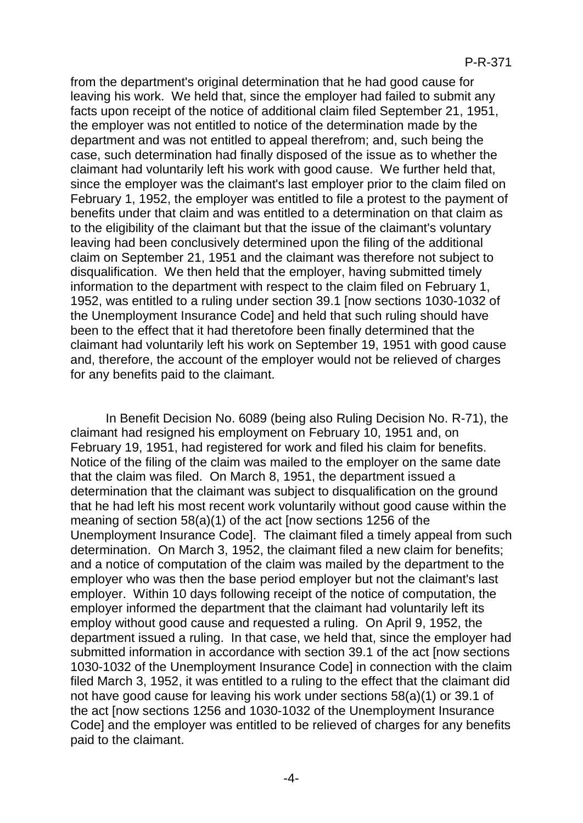from the department's original determination that he had good cause for leaving his work. We held that, since the employer had failed to submit any facts upon receipt of the notice of additional claim filed September 21, 1951, the employer was not entitled to notice of the determination made by the department and was not entitled to appeal therefrom; and, such being the case, such determination had finally disposed of the issue as to whether the claimant had voluntarily left his work with good cause. We further held that, since the employer was the claimant's last employer prior to the claim filed on February 1, 1952, the employer was entitled to file a protest to the payment of benefits under that claim and was entitled to a determination on that claim as to the eligibility of the claimant but that the issue of the claimant's voluntary leaving had been conclusively determined upon the filing of the additional claim on September 21, 1951 and the claimant was therefore not subject to disqualification. We then held that the employer, having submitted timely information to the department with respect to the claim filed on February 1, 1952, was entitled to a ruling under section 39.1 [now sections 1030-1032 of the Unemployment Insurance Code] and held that such ruling should have been to the effect that it had theretofore been finally determined that the claimant had voluntarily left his work on September 19, 1951 with good cause and, therefore, the account of the employer would not be relieved of charges for any benefits paid to the claimant.

In Benefit Decision No. 6089 (being also Ruling Decision No. R-71), the claimant had resigned his employment on February 10, 1951 and, on February 19, 1951, had registered for work and filed his claim for benefits. Notice of the filing of the claim was mailed to the employer on the same date that the claim was filed. On March 8, 1951, the department issued a determination that the claimant was subject to disqualification on the ground that he had left his most recent work voluntarily without good cause within the meaning of section 58(a)(1) of the act [now sections 1256 of the Unemployment Insurance Code]. The claimant filed a timely appeal from such determination. On March 3, 1952, the claimant filed a new claim for benefits; and a notice of computation of the claim was mailed by the department to the employer who was then the base period employer but not the claimant's last employer. Within 10 days following receipt of the notice of computation, the employer informed the department that the claimant had voluntarily left its employ without good cause and requested a ruling. On April 9, 1952, the department issued a ruling. In that case, we held that, since the employer had submitted information in accordance with section 39.1 of the act [now sections 1030-1032 of the Unemployment Insurance Code] in connection with the claim filed March 3, 1952, it was entitled to a ruling to the effect that the claimant did not have good cause for leaving his work under sections 58(a)(1) or 39.1 of the act [now sections 1256 and 1030-1032 of the Unemployment Insurance Code] and the employer was entitled to be relieved of charges for any benefits paid to the claimant.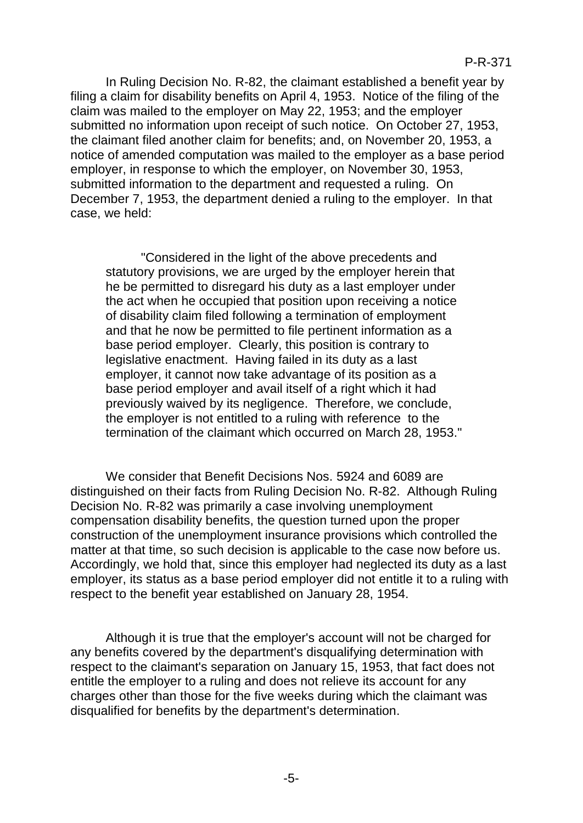In Ruling Decision No. R-82, the claimant established a benefit year by filing a claim for disability benefits on April 4, 1953. Notice of the filing of the claim was mailed to the employer on May 22, 1953; and the employer submitted no information upon receipt of such notice. On October 27, 1953, the claimant filed another claim for benefits; and, on November 20, 1953, a notice of amended computation was mailed to the employer as a base period employer, in response to which the employer, on November 30, 1953, submitted information to the department and requested a ruling. On December 7, 1953, the department denied a ruling to the employer. In that case, we held:

"Considered in the light of the above precedents and statutory provisions, we are urged by the employer herein that he be permitted to disregard his duty as a last employer under the act when he occupied that position upon receiving a notice of disability claim filed following a termination of employment and that he now be permitted to file pertinent information as a base period employer. Clearly, this position is contrary to legislative enactment. Having failed in its duty as a last employer, it cannot now take advantage of its position as a base period employer and avail itself of a right which it had previously waived by its negligence. Therefore, we conclude, the employer is not entitled to a ruling with reference to the termination of the claimant which occurred on March 28, 1953."

We consider that Benefit Decisions Nos. 5924 and 6089 are distinguished on their facts from Ruling Decision No. R-82. Although Ruling Decision No. R-82 was primarily a case involving unemployment compensation disability benefits, the question turned upon the proper construction of the unemployment insurance provisions which controlled the matter at that time, so such decision is applicable to the case now before us. Accordingly, we hold that, since this employer had neglected its duty as a last employer, its status as a base period employer did not entitle it to a ruling with respect to the benefit year established on January 28, 1954.

Although it is true that the employer's account will not be charged for any benefits covered by the department's disqualifying determination with respect to the claimant's separation on January 15, 1953, that fact does not entitle the employer to a ruling and does not relieve its account for any charges other than those for the five weeks during which the claimant was disqualified for benefits by the department's determination.